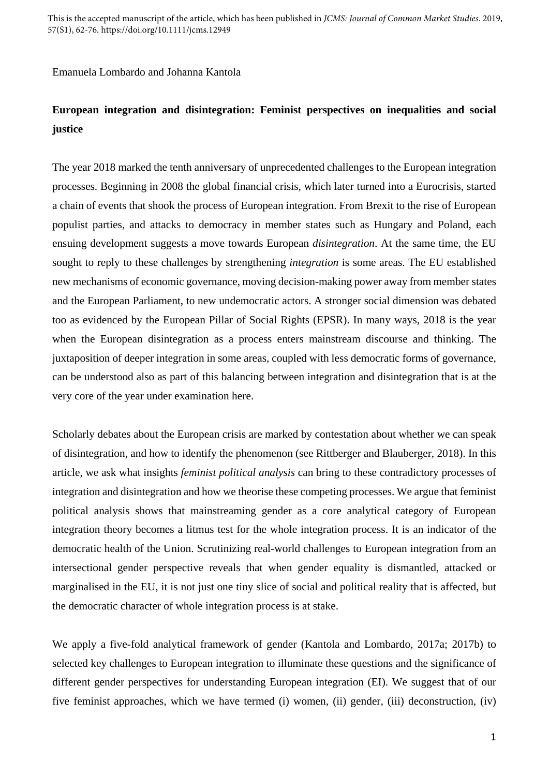Emanuela Lombardo and Johanna Kantola

# **European integration and disintegration: Feminist perspectives on inequalities and social justice**

The year 2018 marked the tenth anniversary of unprecedented challenges to the European integration processes. Beginning in 2008 the global financial crisis, which later turned into a Eurocrisis, started a chain of events that shook the process of European integration. From Brexit to the rise of European populist parties, and attacks to democracy in member states such as Hungary and Poland, each ensuing development suggests a move towards European *disintegration*. At the same time, the EU sought to reply to these challenges by strengthening *integration* is some areas. The EU established new mechanisms of economic governance, moving decision-making power away from member states and the European Parliament, to new undemocratic actors. A stronger social dimension was debated too as evidenced by the European Pillar of Social Rights (EPSR). In many ways, 2018 is the year when the European disintegration as a process enters mainstream discourse and thinking. The juxtaposition of deeper integration in some areas, coupled with less democratic forms of governance, can be understood also as part of this balancing between integration and disintegration that is at the very core of the year under examination here.

Scholarly debates about the European crisis are marked by contestation about whether we can speak of disintegration, and how to identify the phenomenon (see Rittberger and Blauberger, 2018). In this article, we ask what insights *feminist political analysis* can bring to these contradictory processes of integration and disintegration and how we theorise these competing processes. We argue that feminist political analysis shows that mainstreaming gender as a core analytical category of European integration theory becomes a litmus test for the whole integration process. It is an indicator of the democratic health of the Union. Scrutinizing real-world challenges to European integration from an intersectional gender perspective reveals that when gender equality is dismantled, attacked or marginalised in the EU, it is not just one tiny slice of social and political reality that is affected, but the democratic character of whole integration process is at stake.

We apply a five-fold analytical framework of gender (Kantola and Lombardo, 2017a; 2017b) to selected key challenges to European integration to illuminate these questions and the significance of different gender perspectives for understanding European integration (EI). We suggest that of our five feminist approaches, which we have termed (i) women, (ii) gender, (iii) deconstruction, (iv)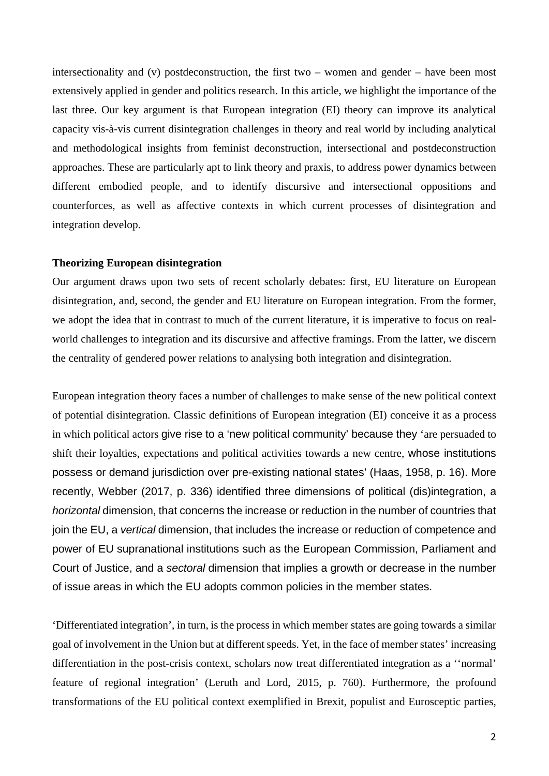intersectionality and (v) postdeconstruction, the first two – women and gender – have been most extensively applied in gender and politics research. In this article, we highlight the importance of the last three. Our key argument is that European integration (EI) theory can improve its analytical capacity vis-à-vis current disintegration challenges in theory and real world by including analytical and methodological insights from feminist deconstruction, intersectional and postdeconstruction approaches. These are particularly apt to link theory and praxis, to address power dynamics between different embodied people, and to identify discursive and intersectional oppositions and counterforces, as well as affective contexts in which current processes of disintegration and integration develop.

#### **Theorizing European disintegration**

Our argument draws upon two sets of recent scholarly debates: first, EU literature on European disintegration, and, second, the gender and EU literature on European integration. From the former, we adopt the idea that in contrast to much of the current literature, it is imperative to focus on realworld challenges to integration and its discursive and affective framings. From the latter, we discern the centrality of gendered power relations to analysing both integration and disintegration.

European integration theory faces a number of challenges to make sense of the new political context of potential disintegration. Classic definitions of European integration (EI) conceive it as a process in which political actors give rise to a 'new political community' because they 'are persuaded to shift their loyalties, expectations and political activities towards a new centre, whose institutions possess or demand jurisdiction over pre-existing national states' (Haas, 1958, p. 16). More recently, Webber (2017, p. 336) identified three dimensions of political (dis)integration, a *horizontal* dimension, that concerns the increase or reduction in the number of countries that join the EU, a *vertical* dimension, that includes the increase or reduction of competence and power of EU supranational institutions such as the European Commission, Parliament and Court of Justice, and a *sectoral* dimension that implies a growth or decrease in the number of issue areas in which the EU adopts common policies in the member states.

'Differentiated integration', in turn, is the process in which member states are going towards a similar goal of involvement in the Union but at different speeds. Yet, in the face of member states' increasing differentiation in the post-crisis context, scholars now treat differentiated integration as a ''normal' feature of regional integration' (Leruth and Lord, 2015, p. 760). Furthermore, the profound transformations of the EU political context exemplified in Brexit, populist and Eurosceptic parties,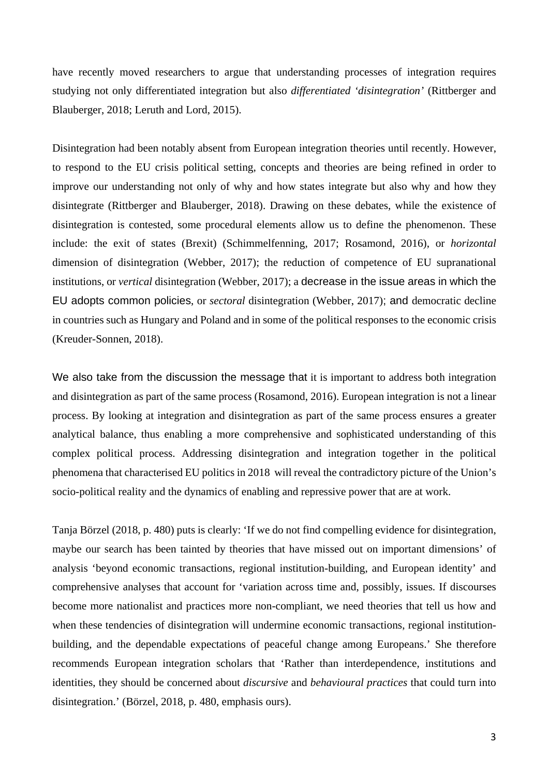have recently moved researchers to argue that understanding processes of integration requires studying not only differentiated integration but also *differentiated 'disintegration'* (Rittberger and Blauberger, 2018; Leruth and Lord, 2015).

Disintegration had been notably absent from European integration theories until recently. However, to respond to the EU crisis political setting, concepts and theories are being refined in order to improve our understanding not only of why and how states integrate but also why and how they disintegrate (Rittberger and Blauberger, 2018). Drawing on these debates, while the existence of disintegration is contested, some procedural elements allow us to define the phenomenon. These include: the exit of states (Brexit) (Schimmelfenning, 2017; Rosamond, 2016), or *horizontal* dimension of disintegration (Webber, 2017); the reduction of competence of EU supranational institutions, or *vertical* disintegration (Webber, 2017); a decrease in the issue areas in which the EU adopts common policies, or *sectoral* disintegration (Webber, 2017); and democratic decline in countries such as Hungary and Poland and in some of the political responses to the economic crisis (Kreuder-Sonnen, 2018).

We also take from the discussion the message that it is important to address both integration and disintegration as part of the same process (Rosamond, 2016). European integration is not a linear process. By looking at integration and disintegration as part of the same process ensures a greater analytical balance, thus enabling a more comprehensive and sophisticated understanding of this complex political process. Addressing disintegration and integration together in the political phenomena that characterised EU politics in 2018 will reveal the contradictory picture of the Union's socio-political reality and the dynamics of enabling and repressive power that are at work.

Tanja Börzel (2018, p. 480) puts is clearly: 'If we do not find compelling evidence for disintegration, maybe our search has been tainted by theories that have missed out on important dimensions' of analysis 'beyond economic transactions, regional institution-building, and European identity' and comprehensive analyses that account for 'variation across time and, possibly, issues. If discourses become more nationalist and practices more non-compliant, we need theories that tell us how and when these tendencies of disintegration will undermine economic transactions, regional institutionbuilding, and the dependable expectations of peaceful change among Europeans.' She therefore recommends European integration scholars that 'Rather than interdependence, institutions and identities, they should be concerned about *discursive* and *behavioural practices* that could turn into disintegration.' (Börzel, 2018, p. 480, emphasis ours).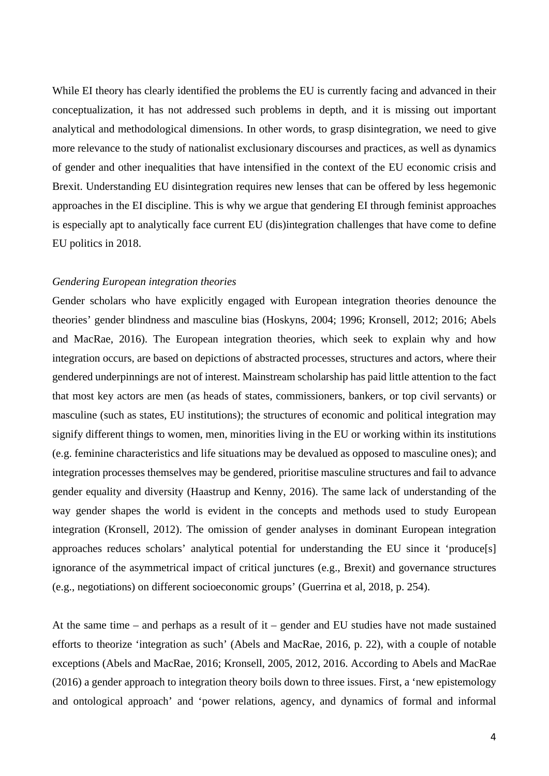While EI theory has clearly identified the problems the EU is currently facing and advanced in their conceptualization, it has not addressed such problems in depth, and it is missing out important analytical and methodological dimensions. In other words, to grasp disintegration, we need to give more relevance to the study of nationalist exclusionary discourses and practices, as well as dynamics of gender and other inequalities that have intensified in the context of the EU economic crisis and Brexit. Understanding EU disintegration requires new lenses that can be offered by less hegemonic approaches in the EI discipline. This is why we argue that gendering EI through feminist approaches is especially apt to analytically face current EU (dis)integration challenges that have come to define EU politics in 2018.

### *Gendering European integration theories*

Gender scholars who have explicitly engaged with European integration theories denounce the theories' gender blindness and masculine bias (Hoskyns, 2004; 1996; Kronsell, 2012; 2016; Abels and MacRae, 2016). The European integration theories, which seek to explain why and how integration occurs, are based on depictions of abstracted processes, structures and actors, where their gendered underpinnings are not of interest. Mainstream scholarship has paid little attention to the fact that most key actors are men (as heads of states, commissioners, bankers, or top civil servants) or masculine (such as states, EU institutions); the structures of economic and political integration may signify different things to women, men, minorities living in the EU or working within its institutions (e.g. feminine characteristics and life situations may be devalued as opposed to masculine ones); and integration processes themselves may be gendered, prioritise masculine structures and fail to advance gender equality and diversity (Haastrup and Kenny, 2016). The same lack of understanding of the way gender shapes the world is evident in the concepts and methods used to study European integration (Kronsell, 2012). The omission of gender analyses in dominant European integration approaches reduces scholars' analytical potential for understanding the EU since it 'produce[s] ignorance of the asymmetrical impact of critical junctures (e.g., Brexit) and governance structures (e.g., negotiations) on different socioeconomic groups' (Guerrina et al, 2018, p. 254).

At the same time – and perhaps as a result of it – gender and EU studies have not made sustained efforts to theorize 'integration as such' (Abels and MacRae, 2016, p. 22), with a couple of notable exceptions (Abels and MacRae, 2016; Kronsell, 2005, 2012, 2016. According to Abels and MacRae (2016) a gender approach to integration theory boils down to three issues. First, a 'new epistemology and ontological approach' and 'power relations, agency, and dynamics of formal and informal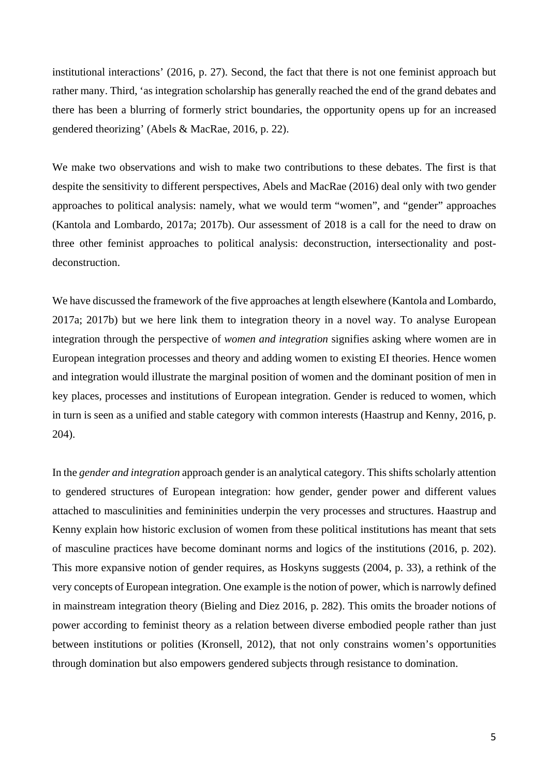institutional interactions' (2016, p. 27). Second, the fact that there is not one feminist approach but rather many. Third, 'as integration scholarship has generally reached the end of the grand debates and there has been a blurring of formerly strict boundaries, the opportunity opens up for an increased gendered theorizing' (Abels & MacRae, 2016, p. 22).

We make two observations and wish to make two contributions to these debates. The first is that despite the sensitivity to different perspectives, Abels and MacRae (2016) deal only with two gender approaches to political analysis: namely, what we would term "women", and "gender" approaches (Kantola and Lombardo, 2017a; 2017b). Our assessment of 2018 is a call for the need to draw on three other feminist approaches to political analysis: deconstruction, intersectionality and postdeconstruction.

We have discussed the framework of the five approaches at length elsewhere (Kantola and Lombardo, 2017a; 2017b) but we here link them to integration theory in a novel way. To analyse European integration through the perspective of *women and integration* signifies asking where women are in European integration processes and theory and adding women to existing EI theories. Hence women and integration would illustrate the marginal position of women and the dominant position of men in key places, processes and institutions of European integration. Gender is reduced to women, which in turn is seen as a unified and stable category with common interests (Haastrup and Kenny, 2016, p. 204).

In the *gender and integration* approach gender is an analytical category. This shifts scholarly attention to gendered structures of European integration: how gender, gender power and different values attached to masculinities and femininities underpin the very processes and structures. Haastrup and Kenny explain how historic exclusion of women from these political institutions has meant that sets of masculine practices have become dominant norms and logics of the institutions (2016, p. 202). This more expansive notion of gender requires, as Hoskyns suggests (2004, p. 33), a rethink of the very concepts of European integration. One example is the notion of power, which is narrowly defined in mainstream integration theory (Bieling and Diez 2016, p. 282). This omits the broader notions of power according to feminist theory as a relation between diverse embodied people rather than just between institutions or polities (Kronsell, 2012), that not only constrains women's opportunities through domination but also empowers gendered subjects through resistance to domination.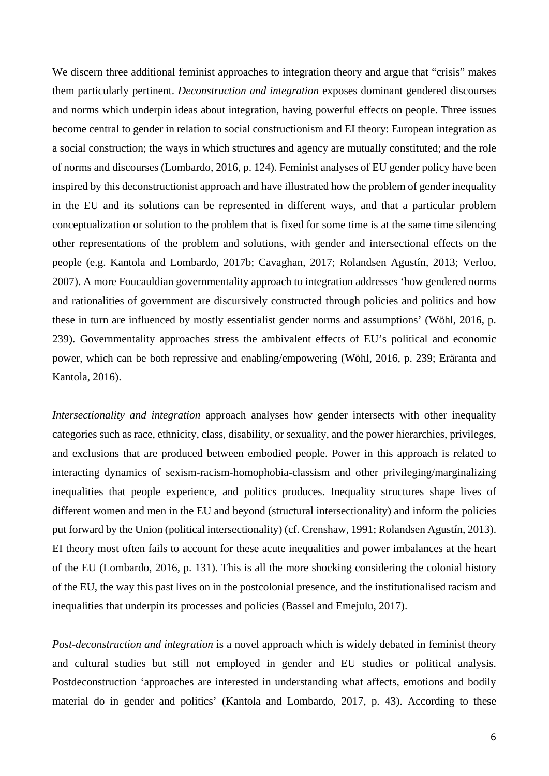We discern three additional feminist approaches to integration theory and argue that "crisis" makes them particularly pertinent. *Deconstruction and integration* exposes dominant gendered discourses and norms which underpin ideas about integration, having powerful effects on people. Three issues become central to gender in relation to social constructionism and EI theory: European integration as a social construction; the ways in which structures and agency are mutually constituted; and the role of norms and discourses (Lombardo, 2016, p. 124). Feminist analyses of EU gender policy have been inspired by this deconstructionist approach and have illustrated how the problem of gender inequality in the EU and its solutions can be represented in different ways, and that a particular problem conceptualization or solution to the problem that is fixed for some time is at the same time silencing other representations of the problem and solutions, with gender and intersectional effects on the people (e.g. Kantola and Lombardo, 2017b; Cavaghan, 2017; Rolandsen Agustín, 2013; Verloo, 2007). A more Foucauldian governmentality approach to integration addresses 'how gendered norms and rationalities of government are discursively constructed through policies and politics and how these in turn are influenced by mostly essentialist gender norms and assumptions' (Wöhl, 2016, p. 239). Governmentality approaches stress the ambivalent effects of EU's political and economic power, which can be both repressive and enabling/empowering (Wöhl, 2016, p. 239; Eräranta and Kantola, 2016).

*Intersectionality and integration* approach analyses how gender intersects with other inequality categories such as race, ethnicity, class, disability, or sexuality, and the power hierarchies, privileges, and exclusions that are produced between embodied people. Power in this approach is related to interacting dynamics of sexism-racism-homophobia-classism and other privileging/marginalizing inequalities that people experience, and politics produces. Inequality structures shape lives of different women and men in the EU and beyond (structural intersectionality) and inform the policies put forward by the Union (political intersectionality) (cf. Crenshaw, 1991; Rolandsen Agustín, 2013). EI theory most often fails to account for these acute inequalities and power imbalances at the heart of the EU (Lombardo, 2016, p. 131). This is all the more shocking considering the colonial history of the EU, the way this past lives on in the postcolonial presence, and the institutionalised racism and inequalities that underpin its processes and policies (Bassel and Emejulu, 2017).

*Post-deconstruction and integration* is a novel approach which is widely debated in feminist theory and cultural studies but still not employed in gender and EU studies or political analysis. Postdeconstruction 'approaches are interested in understanding what affects, emotions and bodily material do in gender and politics' (Kantola and Lombardo, 2017, p. 43). According to these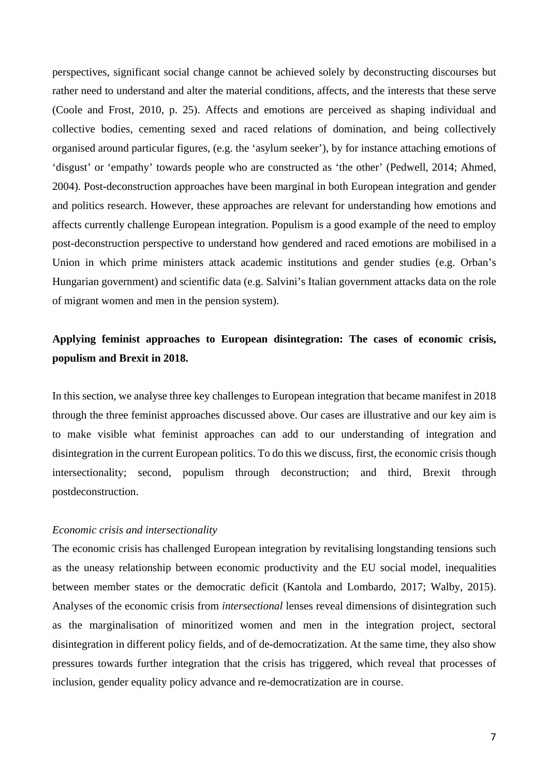perspectives, significant social change cannot be achieved solely by deconstructing discourses but rather need to understand and alter the material conditions, affects, and the interests that these serve (Coole and Frost, 2010, p. 25). Affects and emotions are perceived as shaping individual and collective bodies, cementing sexed and raced relations of domination, and being collectively organised around particular figures, (e.g. the 'asylum seeker'), by for instance attaching emotions of 'disgust' or 'empathy' towards people who are constructed as 'the other' (Pedwell, 2014; Ahmed, 2004). Post-deconstruction approaches have been marginal in both European integration and gender and politics research. However, these approaches are relevant for understanding how emotions and affects currently challenge European integration. Populism is a good example of the need to employ post-deconstruction perspective to understand how gendered and raced emotions are mobilised in a Union in which prime ministers attack academic institutions and gender studies (e.g. Orban's Hungarian government) and scientific data (e.g. Salvini's Italian government attacks data on the role of migrant women and men in the pension system).

## **Applying feminist approaches to European disintegration: The cases of economic crisis, populism and Brexit in 2018.**

In this section, we analyse three key challenges to European integration that became manifest in 2018 through the three feminist approaches discussed above. Our cases are illustrative and our key aim is to make visible what feminist approaches can add to our understanding of integration and disintegration in the current European politics. To do this we discuss, first, the economic crisis though intersectionality; second, populism through deconstruction; and third, Brexit through postdeconstruction.

## *Economic crisis and intersectionality*

The economic crisis has challenged European integration by revitalising longstanding tensions such as the uneasy relationship between economic productivity and the EU social model, inequalities between member states or the democratic deficit (Kantola and Lombardo, 2017; Walby, 2015). Analyses of the economic crisis from *intersectional* lenses reveal dimensions of disintegration such as the marginalisation of minoritized women and men in the integration project, sectoral disintegration in different policy fields, and of de-democratization. At the same time, they also show pressures towards further integration that the crisis has triggered, which reveal that processes of inclusion, gender equality policy advance and re-democratization are in course.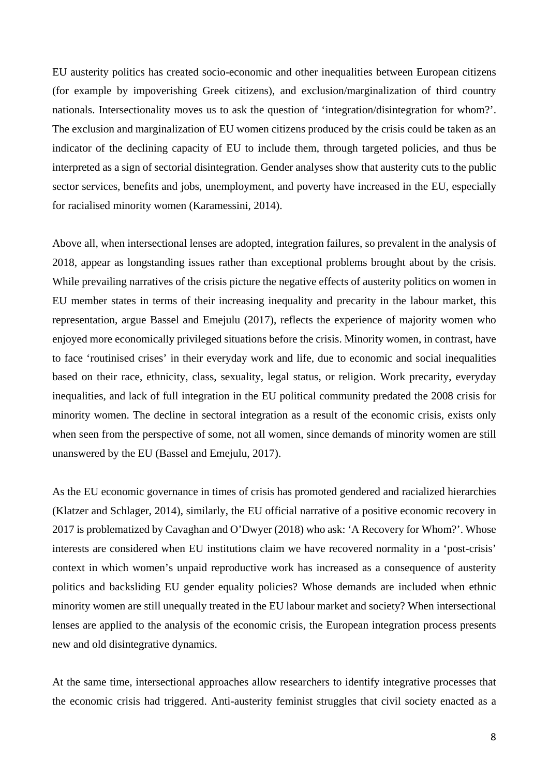EU austerity politics has created socio-economic and other inequalities between European citizens (for example by impoverishing Greek citizens), and exclusion/marginalization of third country nationals. Intersectionality moves us to ask the question of 'integration/disintegration for whom?'. The exclusion and marginalization of EU women citizens produced by the crisis could be taken as an indicator of the declining capacity of EU to include them, through targeted policies, and thus be interpreted as a sign of sectorial disintegration. Gender analyses show that austerity cuts to the public sector services, benefits and jobs, unemployment, and poverty have increased in the EU, especially for racialised minority women (Karamessini, 2014).

Above all, when intersectional lenses are adopted, integration failures, so prevalent in the analysis of 2018, appear as longstanding issues rather than exceptional problems brought about by the crisis. While prevailing narratives of the crisis picture the negative effects of austerity politics on women in EU member states in terms of their increasing inequality and precarity in the labour market, this representation, argue Bassel and Emejulu (2017), reflects the experience of majority women who enjoyed more economically privileged situations before the crisis. Minority women, in contrast, have to face 'routinised crises' in their everyday work and life, due to economic and social inequalities based on their race, ethnicity, class, sexuality, legal status, or religion. Work precarity, everyday inequalities, and lack of full integration in the EU political community predated the 2008 crisis for minority women. The decline in sectoral integration as a result of the economic crisis, exists only when seen from the perspective of some, not all women, since demands of minority women are still unanswered by the EU (Bassel and Emejulu, 2017).

As the EU economic governance in times of crisis has promoted gendered and racialized hierarchies (Klatzer and Schlager, 2014), similarly, the EU official narrative of a positive economic recovery in 2017 is problematized by Cavaghan and O'Dwyer (2018) who ask: 'A Recovery for Whom?'. Whose interests are considered when EU institutions claim we have recovered normality in a 'post-crisis' context in which women's unpaid reproductive work has increased as a consequence of austerity politics and backsliding EU gender equality policies? Whose demands are included when ethnic minority women are still unequally treated in the EU labour market and society? When intersectional lenses are applied to the analysis of the economic crisis, the European integration process presents new and old disintegrative dynamics.

At the same time, intersectional approaches allow researchers to identify integrative processes that the economic crisis had triggered. Anti-austerity feminist struggles that civil society enacted as a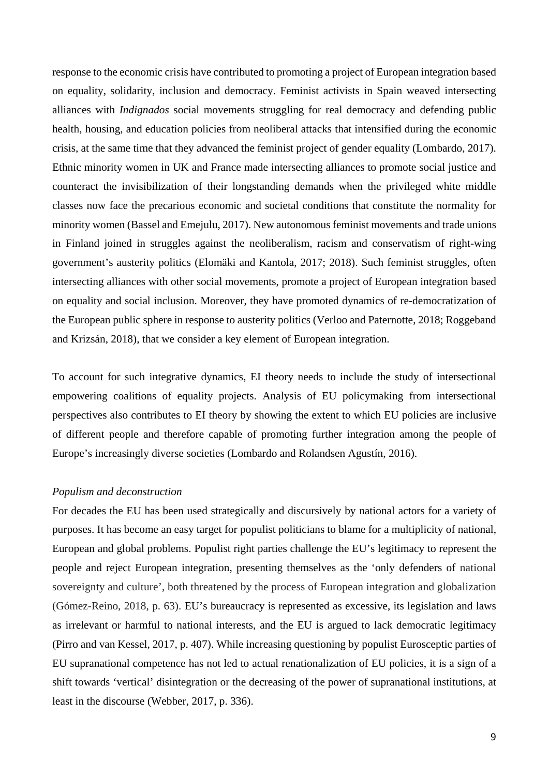response to the economic crisis have contributed to promoting a project of European integration based on equality, solidarity, inclusion and democracy. Feminist activists in Spain weaved intersecting alliances with *Indignados* social movements struggling for real democracy and defending public health, housing, and education policies from neoliberal attacks that intensified during the economic crisis, at the same time that they advanced the feminist project of gender equality (Lombardo, 2017). Ethnic minority women in UK and France made intersecting alliances to promote social justice and counteract the invisibilization of their longstanding demands when the privileged white middle classes now face the precarious economic and societal conditions that constitute the normality for minority women (Bassel and Emejulu, 2017). New autonomous feminist movements and trade unions in Finland joined in struggles against the neoliberalism, racism and conservatism of right-wing government's austerity politics (Elomäki and Kantola, 2017; 2018). Such feminist struggles, often intersecting alliances with other social movements, promote a project of European integration based on equality and social inclusion. Moreover, they have promoted dynamics of re-democratization of the European public sphere in response to austerity politics (Verloo and Paternotte, 2018; Roggeband and Krizsán, 2018), that we consider a key element of European integration.

To account for such integrative dynamics, EI theory needs to include the study of intersectional empowering coalitions of equality projects. Analysis of EU policymaking from intersectional perspectives also contributes to EI theory by showing the extent to which EU policies are inclusive of different people and therefore capable of promoting further integration among the people of Europe's increasingly diverse societies (Lombardo and Rolandsen Agustín, 2016).

### *Populism and deconstruction*

For decades the EU has been used strategically and discursively by national actors for a variety of purposes. It has become an easy target for populist politicians to blame for a multiplicity of national, European and global problems. Populist right parties challenge the EU's legitimacy to represent the people and reject European integration, presenting themselves as the 'only defenders of national sovereignty and culture', both threatened by the process of European integration and globalization (Gómez-Reino, 2018, p. 63). EU's bureaucracy is represented as excessive, its legislation and laws as irrelevant or harmful to national interests, and the EU is argued to lack democratic legitimacy (Pirro and van Kessel, 2017, p. 407). While increasing questioning by populist Eurosceptic parties of EU supranational competence has not led to actual renationalization of EU policies, it is a sign of a shift towards 'vertical' disintegration or the decreasing of the power of supranational institutions, at least in the discourse (Webber, 2017, p. 336).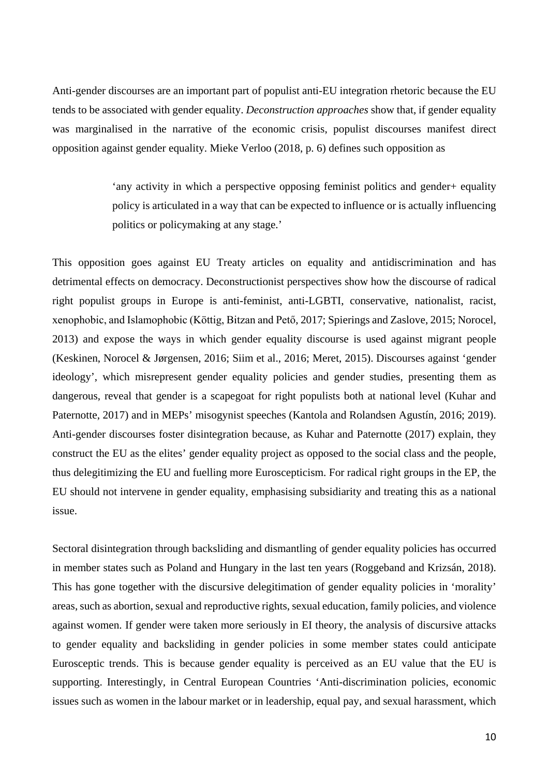Anti-gender discourses are an important part of populist anti-EU integration rhetoric because the EU tends to be associated with gender equality. *Deconstruction approaches* show that, if gender equality was marginalised in the narrative of the economic crisis, populist discourses manifest direct opposition against gender equality. Mieke Verloo (2018, p. 6) defines such opposition as

> 'any activity in which a perspective opposing feminist politics and gender+ equality policy is articulated in a way that can be expected to influence or is actually influencing politics or policymaking at any stage.'

This opposition goes against EU Treaty articles on equality and antidiscrimination and has detrimental effects on democracy. Deconstructionist perspectives show how the discourse of radical right populist groups in Europe is anti-feminist, anti-LGBTI, conservative, nationalist, racist, xenophobic, and Islamophobic (Köttig, Bitzan and Pető, 2017; Spierings and Zaslove, 2015; Norocel, 2013) and expose the ways in which gender equality discourse is used against migrant people (Keskinen, Norocel & Jørgensen, 2016; Siim et al., 2016; Meret, 2015). Discourses against 'gender ideology', which misrepresent gender equality policies and gender studies, presenting them as dangerous, reveal that gender is a scapegoat for right populists both at national level (Kuhar and Paternotte, 2017) and in MEPs' misogynist speeches (Kantola and Rolandsen Agustín, 2016; 2019). Anti-gender discourses foster disintegration because, as Kuhar and Paternotte (2017) explain, they construct the EU as the elites' gender equality project as opposed to the social class and the people, thus delegitimizing the EU and fuelling more Euroscepticism. For radical right groups in the EP, the EU should not intervene in gender equality, emphasising subsidiarity and treating this as a national issue.

Sectoral disintegration through backsliding and dismantling of gender equality policies has occurred in member states such as Poland and Hungary in the last ten years (Roggeband and Krizsán, 2018). This has gone together with the discursive delegitimation of gender equality policies in 'morality' areas, such as abortion, sexual and reproductive rights, sexual education, family policies, and violence against women. If gender were taken more seriously in EI theory, the analysis of discursive attacks to gender equality and backsliding in gender policies in some member states could anticipate Eurosceptic trends. This is because gender equality is perceived as an EU value that the EU is supporting. Interestingly, in Central European Countries 'Anti-discrimination policies, economic issues such as women in the labour market or in leadership, equal pay, and sexual harassment, which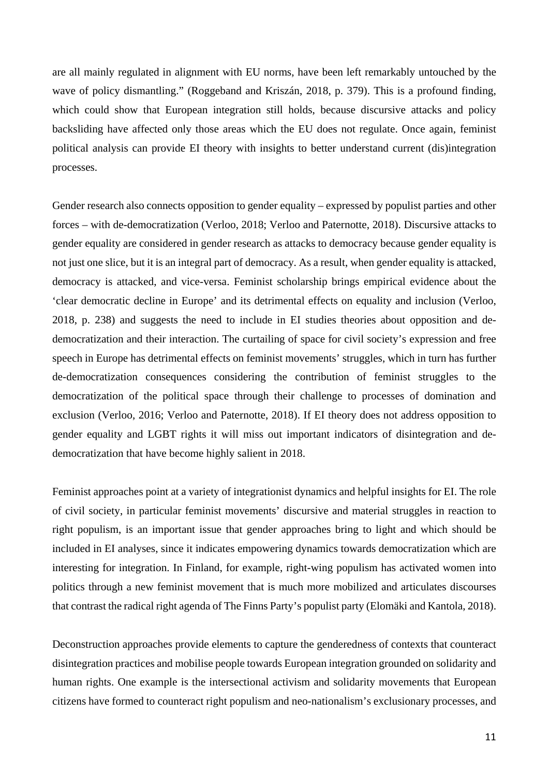are all mainly regulated in alignment with EU norms, have been left remarkably untouched by the wave of policy dismantling." (Roggeband and Kriszán, 2018, p. 379). This is a profound finding, which could show that European integration still holds, because discursive attacks and policy backsliding have affected only those areas which the EU does not regulate. Once again, feminist political analysis can provide EI theory with insights to better understand current (dis)integration processes.

Gender research also connects opposition to gender equality – expressed by populist parties and other forces – with de*-*democratization (Verloo, 2018; Verloo and Paternotte, 2018). Discursive attacks to gender equality are considered in gender research as attacks to democracy because gender equality is not just one slice, but it is an integral part of democracy. As a result, when gender equality is attacked, democracy is attacked, and vice-versa. Feminist scholarship brings empirical evidence about the 'clear democratic decline in Europe' and its detrimental effects on equality and inclusion (Verloo, 2018, p. 238) and suggests the need to include in EI studies theories about opposition and dedemocratization and their interaction. The curtailing of space for civil society's expression and free speech in Europe has detrimental effects on feminist movements' struggles, which in turn has further de-democratization consequences considering the contribution of feminist struggles to the democratization of the political space through their challenge to processes of domination and exclusion (Verloo, 2016; Verloo and Paternotte, 2018). If EI theory does not address opposition to gender equality and LGBT rights it will miss out important indicators of disintegration and dedemocratization that have become highly salient in 2018.

Feminist approaches point at a variety of integrationist dynamics and helpful insights for EI. The role of civil society, in particular feminist movements' discursive and material struggles in reaction to right populism, is an important issue that gender approaches bring to light and which should be included in EI analyses, since it indicates empowering dynamics towards democratization which are interesting for integration. In Finland, for example, right-wing populism has activated women into politics through a new feminist movement that is much more mobilized and articulates discourses that contrast the radical right agenda of The Finns Party's populist party (Elomäki and Kantola, 2018).

Deconstruction approaches provide elements to capture the genderedness of contexts that counteract disintegration practices and mobilise people towards European integration grounded on solidarity and human rights. One example is the intersectional activism and solidarity movements that European citizens have formed to counteract right populism and neo-nationalism's exclusionary processes, and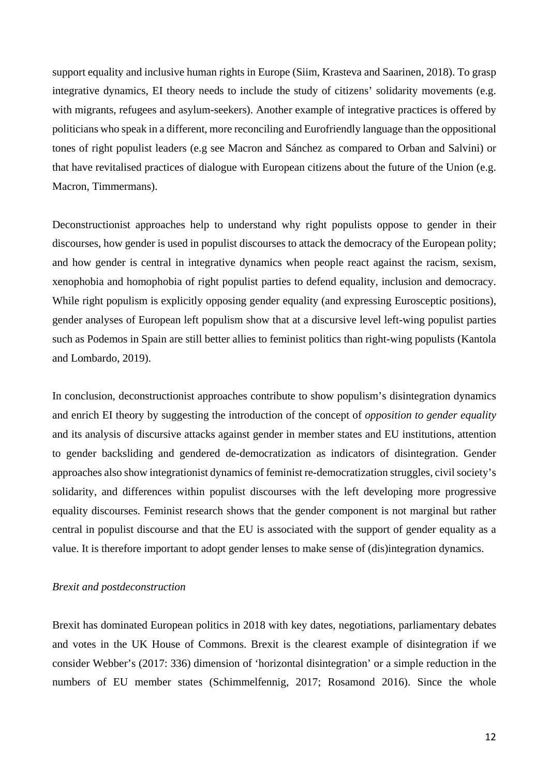support equality and inclusive human rights in Europe (Siim, Krasteva and Saarinen, 2018). To grasp integrative dynamics, EI theory needs to include the study of citizens' solidarity movements (e.g. with migrants, refugees and asylum-seekers). Another example of integrative practices is offered by politicians who speak in a different, more reconciling and Eurofriendly language than the oppositional tones of right populist leaders (e.g see Macron and Sánchez as compared to Orban and Salvini) or that have revitalised practices of dialogue with European citizens about the future of the Union (e.g. Macron, Timmermans).

Deconstructionist approaches help to understand why right populists oppose to gender in their discourses, how gender is used in populist discourses to attack the democracy of the European polity; and how gender is central in integrative dynamics when people react against the racism, sexism, xenophobia and homophobia of right populist parties to defend equality, inclusion and democracy. While right populism is explicitly opposing gender equality (and expressing Eurosceptic positions), gender analyses of European left populism show that at a discursive level left-wing populist parties such as Podemos in Spain are still better allies to feminist politics than right-wing populists (Kantola and Lombardo, 2019).

In conclusion, deconstructionist approaches contribute to show populism's disintegration dynamics and enrich EI theory by suggesting the introduction of the concept of *opposition to gender equality* and its analysis of discursive attacks against gender in member states and EU institutions, attention to gender backsliding and gendered de-democratization as indicators of disintegration. Gender approaches also show integrationist dynamics of feminist re-democratization struggles, civil society's solidarity, and differences within populist discourses with the left developing more progressive equality discourses. Feminist research shows that the gender component is not marginal but rather central in populist discourse and that the EU is associated with the support of gender equality as a value. It is therefore important to adopt gender lenses to make sense of (dis)integration dynamics.

### *Brexit and postdeconstruction*

Brexit has dominated European politics in 2018 with key dates, negotiations, parliamentary debates and votes in the UK House of Commons. Brexit is the clearest example of disintegration if we consider Webber's (2017: 336) dimension of 'horizontal disintegration' or a simple reduction in the numbers of EU member states (Schimmelfennig, 2017; Rosamond 2016). Since the whole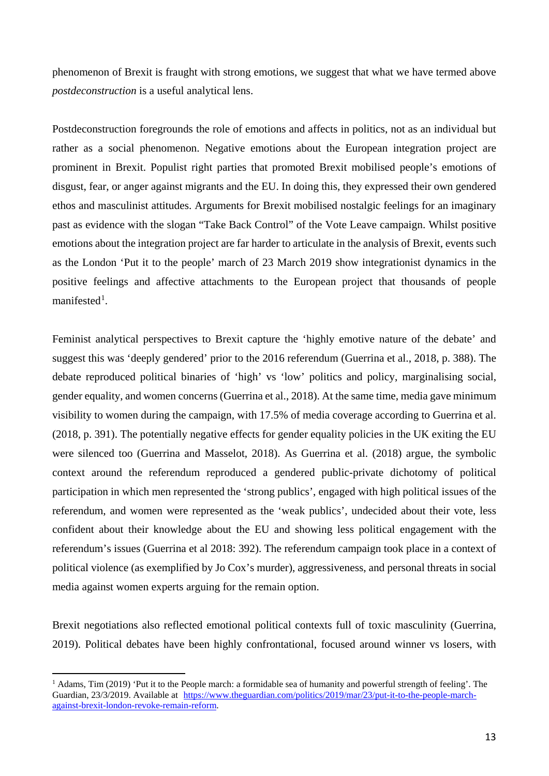phenomenon of Brexit is fraught with strong emotions, we suggest that what we have termed above *postdeconstruction* is a useful analytical lens.

Postdeconstruction foregrounds the role of emotions and affects in politics, not as an individual but rather as a social phenomenon. Negative emotions about the European integration project are prominent in Brexit. Populist right parties that promoted Brexit mobilised people's emotions of disgust, fear, or anger against migrants and the EU. In doing this, they expressed their own gendered ethos and masculinist attitudes. Arguments for Brexit mobilised nostalgic feelings for an imaginary past as evidence with the slogan "Take Back Control" of the Vote Leave campaign. Whilst positive emotions about the integration project are far harder to articulate in the analysis of Brexit, events such as the London 'Put it to the people' march of 23 March 2019 show integrationist dynamics in the positive feelings and affective attachments to the European project that thousands of people manifested<sup>[1](#page-12-0)</sup>.

Feminist analytical perspectives to Brexit capture the 'highly emotive nature of the debate' and suggest this was 'deeply gendered' prior to the 2016 referendum (Guerrina et al., 2018, p. 388). The debate reproduced political binaries of 'high' vs 'low' politics and policy, marginalising social, gender equality, and women concerns (Guerrina et al., 2018). At the same time, media gave minimum visibility to women during the campaign, with 17.5% of media coverage according to Guerrina et al. (2018, p. 391). The potentially negative effects for gender equality policies in the UK exiting the EU were silenced too (Guerrina and Masselot, 2018). As Guerrina et al. (2018) argue, the symbolic context around the referendum reproduced a gendered public-private dichotomy of political participation in which men represented the 'strong publics', engaged with high political issues of the referendum, and women were represented as the 'weak publics', undecided about their vote, less confident about their knowledge about the EU and showing less political engagement with the referendum's issues (Guerrina et al 2018: 392). The referendum campaign took place in a context of political violence (as exemplified by Jo Cox's murder), aggressiveness, and personal threats in social media against women experts arguing for the remain option.

Brexit negotiations also reflected emotional political contexts full of toxic masculinity (Guerrina, 2019). Political debates have been highly confrontational, focused around winner vs losers, with

1

<span id="page-12-0"></span><sup>&</sup>lt;sup>1</sup> Adams, Tim (2019) 'Put it to the People march: a formidable sea of humanity and powerful strength of feeling'. The Guardian, 23/3/2019. Available at [https://www.theguardian.com/politics/2019/mar/23/put-it-to-the-people-march](https://www.theguardian.com/politics/2019/mar/23/put-it-to-the-people-march-against-brexit-london-revoke-remain-reform)[against-brexit-london-revoke-remain-reform.](https://www.theguardian.com/politics/2019/mar/23/put-it-to-the-people-march-against-brexit-london-revoke-remain-reform)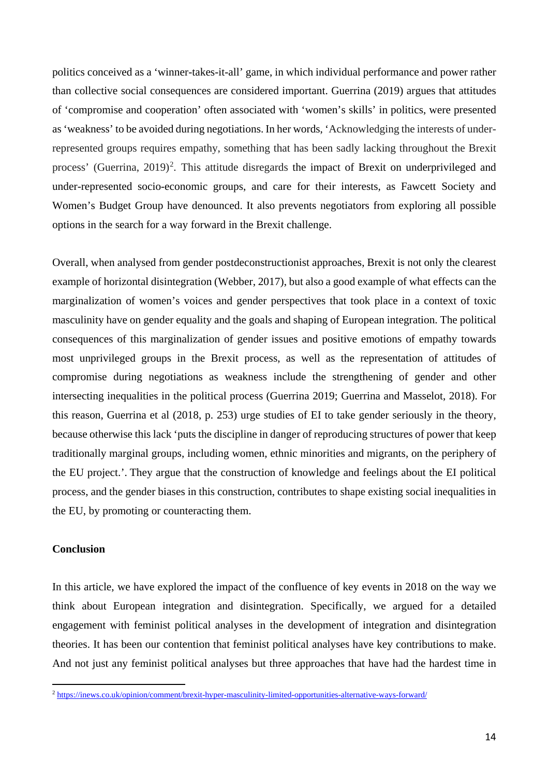politics conceived as a 'winner-takes-it-all' game, in which individual performance and power rather than collective social consequences are considered important. Guerrina (2019) argues that attitudes of 'compromise and cooperation' often associated with 'women's skills' in politics, were presented as 'weakness' to be avoided during negotiations. In her words, 'Acknowledging the interests of underrepresented groups requires empathy, something that has been sadly lacking throughout the Brexit process' (Guerrina, [2](#page-13-0)019)<sup>2</sup>. This attitude disregards the impact of Brexit on underprivileged and under-represented socio-economic groups, and care for their interests, as Fawcett Society and Women's Budget Group have denounced. It also prevents negotiators from exploring all possible options in the search for a way forward in the Brexit challenge.

Overall, when analysed from gender postdeconstructionist approaches, Brexit is not only the clearest example of horizontal disintegration (Webber, 2017), but also a good example of what effects can the marginalization of women's voices and gender perspectives that took place in a context of toxic masculinity have on gender equality and the goals and shaping of European integration. The political consequences of this marginalization of gender issues and positive emotions of empathy towards most unprivileged groups in the Brexit process, as well as the representation of attitudes of compromise during negotiations as weakness include the strengthening of gender and other intersecting inequalities in the political process (Guerrina 2019; Guerrina and Masselot, 2018). For this reason, Guerrina et al (2018, p. 253) urge studies of EI to take gender seriously in the theory, because otherwise this lack 'puts the discipline in danger of reproducing structures of power that keep traditionally marginal groups, including women, ethnic minorities and migrants, on the periphery of the EU project.'. They argue that the construction of knowledge and feelings about the EI political process, and the gender biases in this construction, contributes to shape existing social inequalities in the EU, by promoting or counteracting them.

## **Conclusion**

1

In this article, we have explored the impact of the confluence of key events in 2018 on the way we think about European integration and disintegration. Specifically, we argued for a detailed engagement with feminist political analyses in the development of integration and disintegration theories. It has been our contention that feminist political analyses have key contributions to make. And not just any feminist political analyses but three approaches that have had the hardest time in

<span id="page-13-0"></span><sup>&</sup>lt;sup>2</sup> <https://inews.co.uk/opinion/comment/brexit-hyper-masculinity-limited-opportunities-alternative-ways-forward/>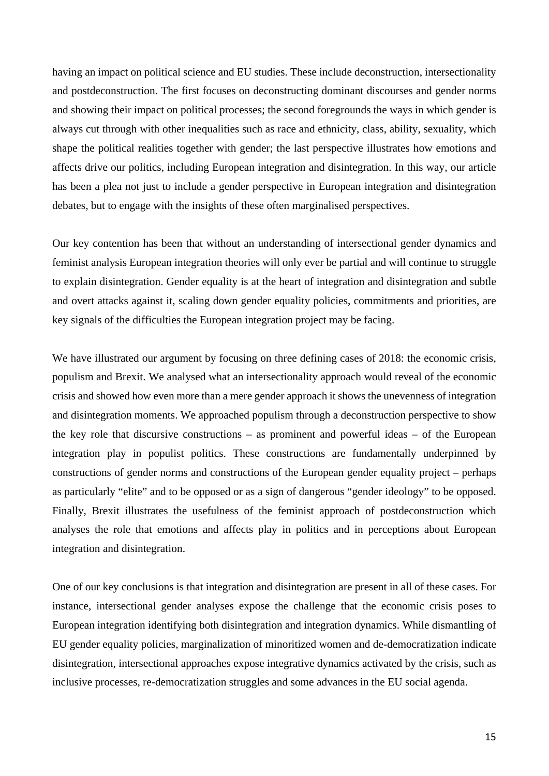having an impact on political science and EU studies. These include deconstruction, intersectionality and postdeconstruction. The first focuses on deconstructing dominant discourses and gender norms and showing their impact on political processes; the second foregrounds the ways in which gender is always cut through with other inequalities such as race and ethnicity, class, ability, sexuality, which shape the political realities together with gender; the last perspective illustrates how emotions and affects drive our politics, including European integration and disintegration. In this way, our article has been a plea not just to include a gender perspective in European integration and disintegration debates, but to engage with the insights of these often marginalised perspectives.

Our key contention has been that without an understanding of intersectional gender dynamics and feminist analysis European integration theories will only ever be partial and will continue to struggle to explain disintegration. Gender equality is at the heart of integration and disintegration and subtle and overt attacks against it, scaling down gender equality policies, commitments and priorities, are key signals of the difficulties the European integration project may be facing.

We have illustrated our argument by focusing on three defining cases of 2018: the economic crisis, populism and Brexit. We analysed what an intersectionality approach would reveal of the economic crisis and showed how even more than a mere gender approach it shows the unevenness of integration and disintegration moments. We approached populism through a deconstruction perspective to show the key role that discursive constructions – as prominent and powerful ideas – of the European integration play in populist politics. These constructions are fundamentally underpinned by constructions of gender norms and constructions of the European gender equality project – perhaps as particularly "elite" and to be opposed or as a sign of dangerous "gender ideology" to be opposed. Finally, Brexit illustrates the usefulness of the feminist approach of postdeconstruction which analyses the role that emotions and affects play in politics and in perceptions about European integration and disintegration.

One of our key conclusions is that integration and disintegration are present in all of these cases. For instance, intersectional gender analyses expose the challenge that the economic crisis poses to European integration identifying both disintegration and integration dynamics. While dismantling of EU gender equality policies, marginalization of minoritized women and de-democratization indicate disintegration, intersectional approaches expose integrative dynamics activated by the crisis, such as inclusive processes, re-democratization struggles and some advances in the EU social agenda.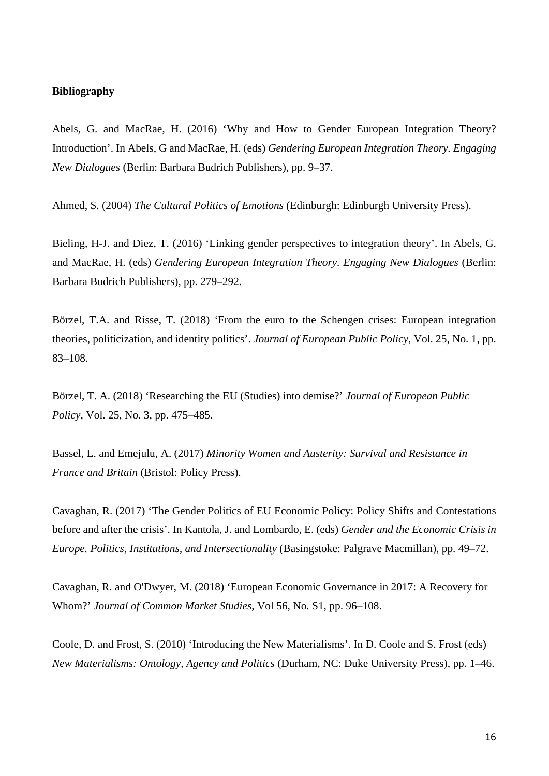## **Bibliography**

Abels, G. and MacRae, H. (2016) 'Why and How to Gender European Integration Theory? Introduction'. In Abels, G and MacRae, H. (eds) *Gendering European Integration Theory. Engaging New Dialogues* (Berlin: Barbara Budrich Publishers), pp. 9–37.

Ahmed, S. (2004) *The Cultural Politics of Emotions* (Edinburgh: Edinburgh University Press).

Bieling, H-J. and Diez, T. (2016) 'Linking gender perspectives to integration theory'. In Abels, G. and MacRae, H. (eds) *Gendering European Integration Theory. Engaging New Dialogues* (Berlin: Barbara Budrich Publishers), pp. 279–292.

Börzel, T.A. and Risse, T. (2018) 'From the euro to the Schengen crises: European integration theories, politicization, and identity politics'. *Journal of European Public Policy*, Vol. 25, No. 1, pp. 83–108.

Börzel, T. A. (2018) 'Researching the EU (Studies) into demise?' *Journal of European Public Policy*, Vol. 25, No. 3, pp. 475–485.

Bassel, L. and Emejulu, A. (2017) *Minority Women and Austerity: Survival and Resistance in France and Britain* (Bristol: Policy Press).

Cavaghan, R. (2017) 'The Gender Politics of EU Economic Policy: Policy Shifts and Contestations before and after the crisis'. In Kantola, J. and Lombardo, E. (eds) *Gender and the Economic Crisis in Europe. Politics, Institutions, and Intersectionality* (Basingstoke: Palgrave Macmillan), pp. 49–72.

Cavaghan, R. and O'Dwyer, M. (2018) 'European Economic Governance in 2017: A Recovery for Whom?' *Journal of Common Market Studies*, Vol 56, No. S1, pp. 96–108.

Coole, D. and Frost, S. (2010) 'Introducing the New Materialisms'. In D. Coole and S. Frost (eds) *New Materialisms: Ontology, Agency and Politics* (Durham, NC: Duke University Press), pp. 1–46.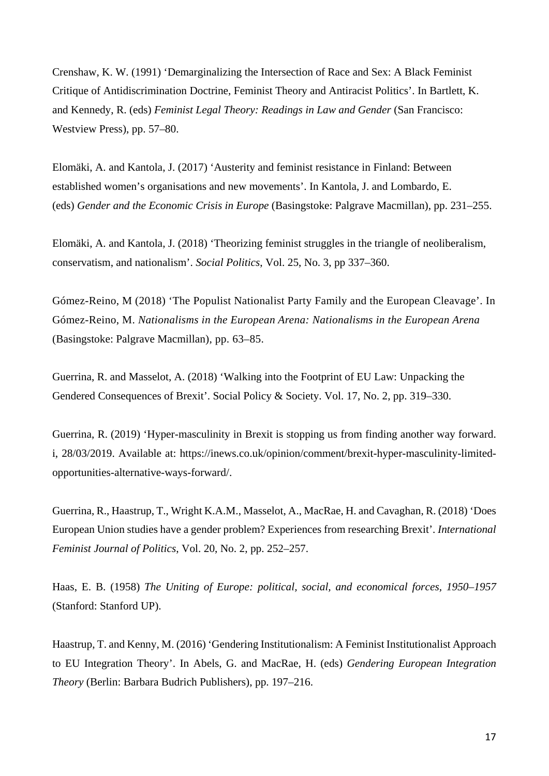Crenshaw, K. W. (1991) 'Demarginalizing the Intersection of Race and Sex: A Black Feminist Critique of Antidiscrimination Doctrine, Feminist Theory and Antiracist Politics'. In Bartlett, K. and Kennedy, R. (eds) *Feminist Legal Theory: Readings in Law and Gender* (San Francisco: Westview Press), pp. 57–80.

Elomäki, A. and Kantola, J. (2017) 'Austerity and feminist resistance in Finland: Between established women's organisations and new movements'. In Kantola, J. and Lombardo, E. (eds) *Gender and the Economic Crisis in Europe* (Basingstoke: Palgrave Macmillan), pp. 231–255.

Elomäki, A. and Kantola, J. (2018) 'Theorizing feminist struggles in the triangle of neoliberalism, conservatism, and nationalism'. *Social Politics*, Vol. 25, No. 3, pp 337–360.

Gómez-Reino, M (2018) 'The Populist Nationalist Party Family and the European Cleavage'. In Gómez-Reino, M. *Nationalisms in the European Arena: Nationalisms in the European Arena* (Basingstoke: Palgrave Macmillan), pp. 63–85.

Guerrina, R. and Masselot, A. (2018) 'Walking into the Footprint of EU Law: Unpacking the Gendered Consequences of Brexit'. Social Policy & Society. Vol. 17, No. 2, pp. 319–330.

Guerrina, R. (2019) 'Hyper-masculinity in Brexit is stopping us from finding another way forward. i, 28/03/2019. Available at: https://inews.co.uk/opinion/comment/brexit-hyper-masculinity-limitedopportunities-alternative-ways-forward/.

Guerrina, R., Haastrup, T., Wright K.A.M., Masselot, A., MacRae, H. and Cavaghan, R. (2018) 'Does European Union studies have a gender problem? Experiences from researching Brexit'. *International Feminist Journal of Politics*, Vol. 20, No. 2, pp. 252–257.

Haas, E. B. (1958) *The Uniting of Europe: political, social, and economical forces, 1950–1957* (Stanford: Stanford UP).

Haastrup, T. and Kenny, M. (2016) 'Gendering Institutionalism: A Feminist Institutionalist Approach to EU Integration Theory'. In Abels, G. and MacRae, H. (eds) *Gendering European Integration Theory* (Berlin: Barbara Budrich Publishers), pp. 197–216.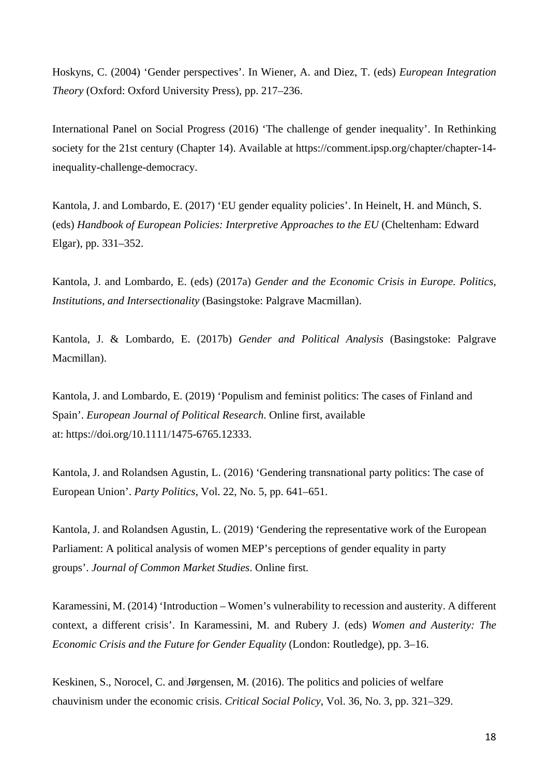Hoskyns, C. (2004) 'Gender perspectives'. In Wiener, A. and Diez, T. (eds) *European Integration Theory* (Oxford: Oxford University Press), pp. 217–236.

International Panel on Social Progress (2016) 'The challenge of gender inequality'. In Rethinking society for the 21st century (Chapter 14). Available at https://comment.ipsp.org/chapter/chapter-14 inequality-challenge-democracy.

Kantola, J. and Lombardo, E. (2017) 'EU gender equality policies'. In Heinelt, H. and Münch, S. (eds) *Handbook of European Policies: Interpretive Approaches to the EU* (Cheltenham: Edward Elgar), pp. 331–352.

Kantola, J. and Lombardo, E. (eds) (2017a) *Gender and the Economic Crisis in Europe. Politics, Institutions, and Intersectionality* (Basingstoke: Palgrave Macmillan).

Kantola, J. & Lombardo, E. (2017b) *Gender and Political Analysis* (Basingstoke: Palgrave Macmillan).

Kantola, J. and Lombardo, E. (2019) 'Populism and feminist politics: The cases of Finland and Spain'. *European Journal of Political Research*. Online first, available at: [https://doi.org/10.1111/1475-6765.12333.](https://doi.org/10.1111/1475-6765.12333)

Kantola, J. and Rolandsen Agustin, L. (2016) 'Gendering transnational party politics: The case of European Union'. *Party Politics*, Vol. 22, No. 5, pp. 641–651.

Kantola, J. and Rolandsen Agustin, L. (2019) 'Gendering the representative work of the European Parliament: A political analysis of women MEP's perceptions of gender equality in party groups'. *Journal of Common Market Studies*. Online first.

Karamessini, M. (2014) 'Introduction – Women's vulnerability to recession and austerity. A different context, a different crisis'. In Karamessini, M. and Rubery J. (eds) *Women and Austerity: The Economic Crisis and the Future for Gender Equality* (London: Routledge), pp. 3*–*16.

Keskinen, S., Norocel, C. and Jørgensen, M. (2016). The politics and policies of welfare chauvinism under the economic crisis. *Critical Social Policy*, Vol. 36, No. 3, pp. 321–329.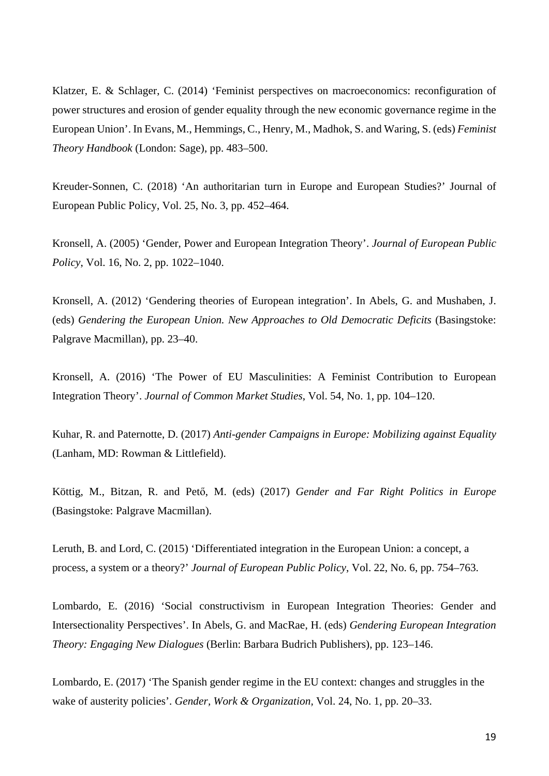Klatzer, E. & Schlager, C. (2014) 'Feminist perspectives on macroeconomics: reconfiguration of power structures and erosion of gender equality through the new economic governance regime in the European Union'. In Evans, M., Hemmings, C., Henry, M., Madhok, S. and Waring, S. (eds) *Feminist Theory Handbook* (London: Sage), pp. 483–500.

Kreuder-Sonnen, C. (2018) 'An authoritarian turn in Europe and European Studies?' Journal of European Public Policy, Vol. 25, No. 3, pp. 452–464.

Kronsell, A. (2005) 'Gender, Power and European Integration Theory'. *Journal of European Public Policy*, Vol. 16, No. 2, pp. 1022–1040.

Kronsell, A. (2012) 'Gendering theories of European integration'. In Abels, G. and Mushaben, J. (eds) *Gendering the European Union. New Approaches to Old Democratic Deficits* (Basingstoke: Palgrave Macmillan), pp. 23–40.

Kronsell, A. (2016) 'The Power of EU Masculinities: A Feminist Contribution to European Integration Theory'. *Journal of Common Market Studies*, Vol. 54, No. 1, pp. 104–120.

Kuhar, R. and Paternotte, D. (2017) *Anti-gender Campaigns in Europe: Mobilizing against Equality* (Lanham, MD: Rowman & Littlefield).

Köttig, M., Bitzan, R. and Pető, M. (eds) (2017) *Gender and Far Right Politics in Europe* (Basingstoke: Palgrave Macmillan).

Leruth, B. and Lord, C. (2015) 'Differentiated integration in the European Union: a concept, a process, a system or a theory?' *Journal of European Public Policy*, Vol. 22, No. 6, pp. 754–763.

Lombardo, E. (2016) 'Social constructivism in European Integration Theories: Gender and Intersectionality Perspectives'. In Abels, G. and MacRae, H. (eds) *Gendering European Integration Theory: Engaging New Dialogues* (Berlin: Barbara Budrich Publishers), pp. 123–146.

Lombardo, E. (2017) 'The Spanish gender regime in the EU context: changes and struggles in the wake of austerity policies'. *Gender, Work & Organization,* Vol. 24, No. 1, pp. 20–33.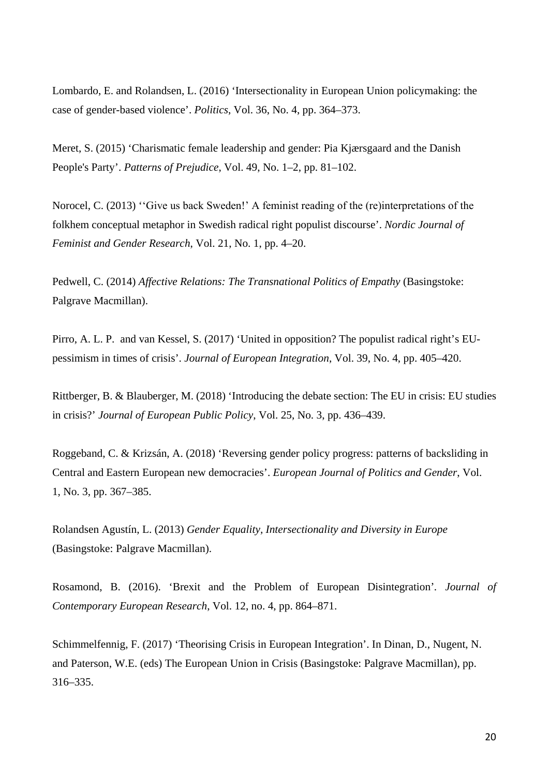Lombardo, E. and Rolandsen, L. (2016) 'Intersectionality in European Union policymaking: the case of gender-based violence'. *Politics*, Vol. 36, No. 4, pp. 364–373.

Meret, S. (2015) 'Charismatic female leadership and gender: Pia Kjærsgaard and the Danish People's Party'. *Patterns of Prejudice*, Vol. 49, No. 1–2, pp. 81–102.

Norocel, C. (2013) 'ʻGive us back Sweden!' A feminist reading of the (re)interpretations of the folkhem conceptual metaphor in Swedish radical right populist discourse'. *Nordic Journal of Feminist and Gender Research*, Vol. 21, No. 1, pp. 4–20.

Pedwell, C. (2014) *Affective Relations: The Transnational Politics of Empathy* (Basingstoke: Palgrave Macmillan).

Pirro, A. L. P. and van Kessel, S. (2017) 'United in opposition? The populist radical right's EUpessimism in times of crisis'. *Journal of European Integration*, Vol. 39, No. 4, pp. 405–420.

Rittberger, B. & Blauberger, M. (2018) 'Introducing the debate section: The EU in crisis: EU studies in crisis?' *Journal of European Public Policy*, Vol. 25, No. 3, pp. 436–439.

Roggeband, C. & Krizsán, A. (2018) 'Reversing gender policy progress: patterns of backsliding in Central and Eastern European new democracies'. *European Journal of Politics and Gender*, Vol. 1, No. 3, pp. 367–385.

Rolandsen Agustín, L. (2013) *Gender Equality, Intersectionality and Diversity in Europe* (Basingstoke: Palgrave Macmillan).

Rosamond, B. (2016). 'Brexit and the Problem of European Disintegration'*. Journal of Contemporary European Research*, Vol. 12, no. 4, pp. 864–871.

Schimmelfennig, F. (2017) 'Theorising Crisis in European Integration'. In Dinan, D., Nugent, N. and Paterson, W.E. (eds) The European Union in Crisis (Basingstoke: Palgrave Macmillan), pp. 316–335.